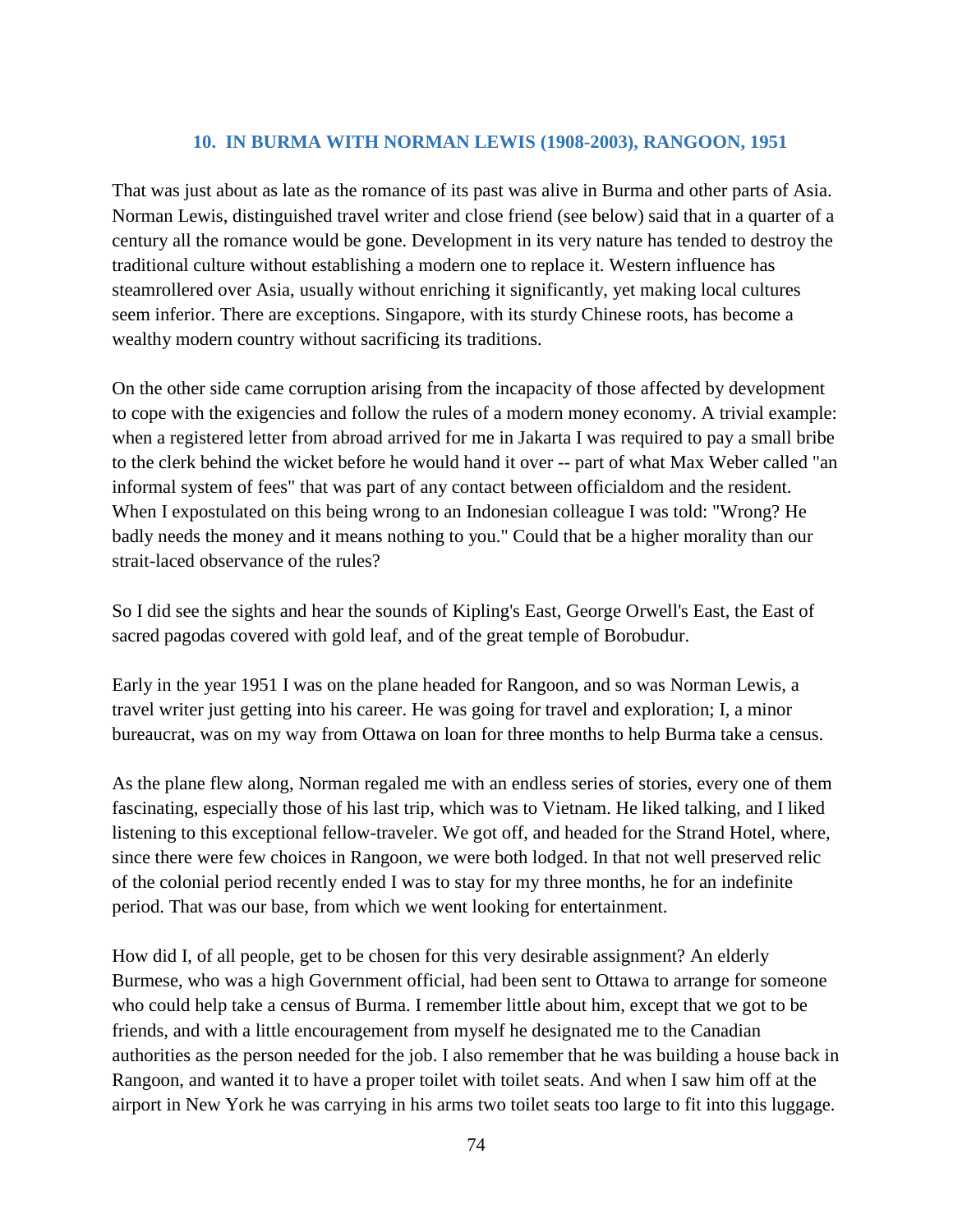## **10. IN BURMA WITH NORMAN LEWIS (1908-2003), RANGOON, 1951**

That was just about as late as the romance of its past was alive in Burma and other parts of Asia. Norman Lewis, distinguished travel writer and close friend (see below) said that in a quarter of a century all the romance would be gone. Development in its very nature has tended to destroy the traditional culture without establishing a modern one to replace it. Western influence has steamrollered over Asia, usually without enriching it significantly, yet making local cultures seem inferior. There are exceptions. Singapore, with its sturdy Chinese roots, has become a wealthy modern country without sacrificing its traditions.

On the other side came corruption arising from the incapacity of those affected by development to cope with the exigencies and follow the rules of a modern money economy. A trivial example: when a registered letter from abroad arrived for me in Jakarta I was required to pay a small bribe to the clerk behind the wicket before he would hand it over -- part of what Max Weber called "an informal system of fees" that was part of any contact between officialdom and the resident. When I expostulated on this being wrong to an Indonesian colleague I was told: "Wrong? He badly needs the money and it means nothing to you." Could that be a higher morality than our strait-laced observance of the rules?

So I did see the sights and hear the sounds of Kipling's East, George Orwell's East, the East of sacred pagodas covered with gold leaf, and of the great temple of Borobudur.

Early in the year 1951 I was on the plane headed for Rangoon, and so was Norman Lewis, a travel writer just getting into his career. He was going for travel and exploration; I, a minor bureaucrat, was on my way from Ottawa on loan for three months to help Burma take a census.

As the plane flew along, Norman regaled me with an endless series of stories, every one of them fascinating, especially those of his last trip, which was to Vietnam. He liked talking, and I liked listening to this exceptional fellow-traveler. We got off, and headed for the Strand Hotel, where, since there were few choices in Rangoon, we were both lodged. In that not well preserved relic of the colonial period recently ended I was to stay for my three months, he for an indefinite period. That was our base, from which we went looking for entertainment.

How did I, of all people, get to be chosen for this very desirable assignment? An elderly Burmese, who was a high Government official, had been sent to Ottawa to arrange for someone who could help take a census of Burma. I remember little about him, except that we got to be friends, and with a little encouragement from myself he designated me to the Canadian authorities as the person needed for the job. I also remember that he was building a house back in Rangoon, and wanted it to have a proper toilet with toilet seats. And when I saw him off at the airport in New York he was carrying in his arms two toilet seats too large to fit into this luggage.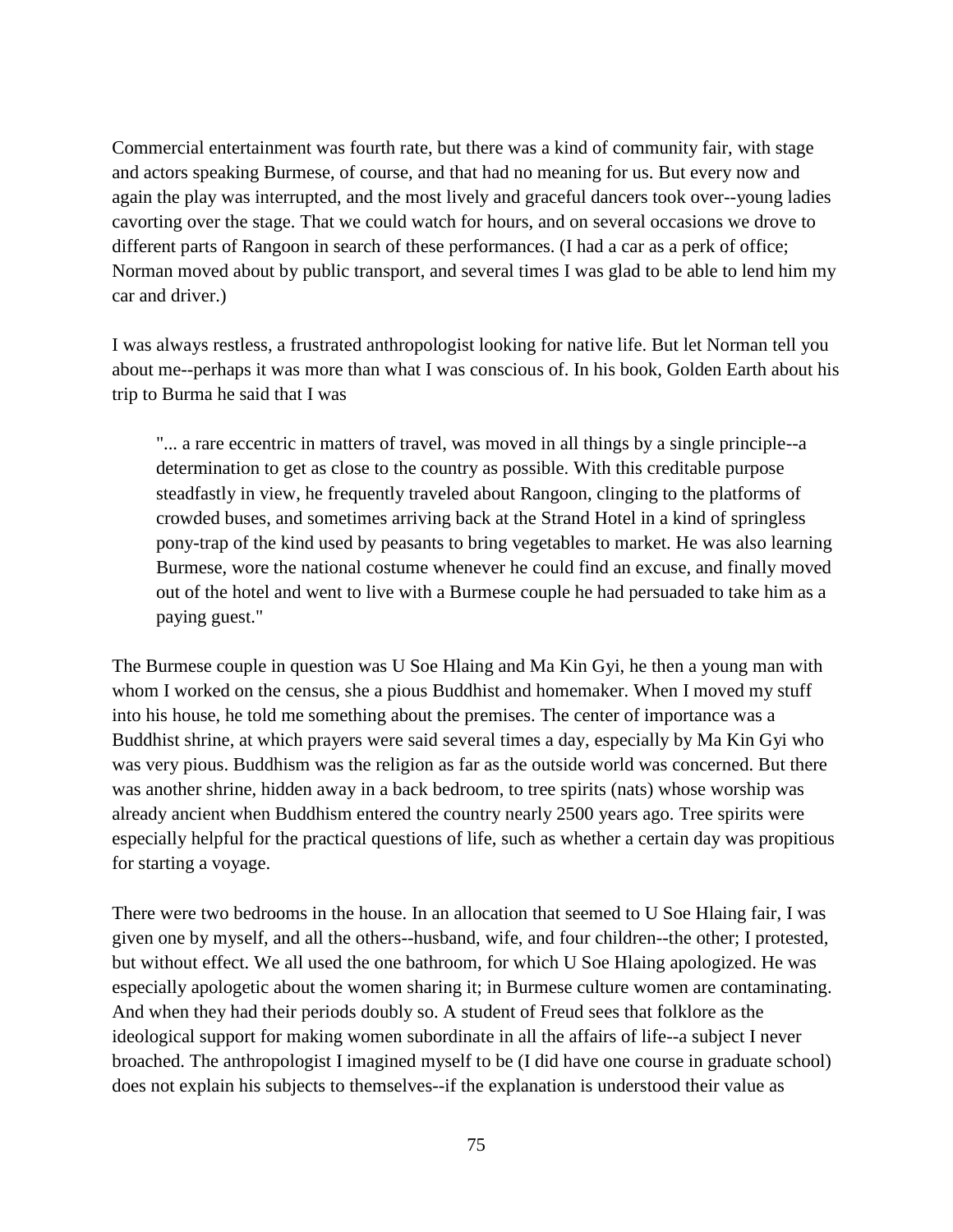Commercial entertainment was fourth rate, but there was a kind of community fair, with stage and actors speaking Burmese, of course, and that had no meaning for us. But every now and again the play was interrupted, and the most lively and graceful dancers took over--young ladies cavorting over the stage. That we could watch for hours, and on several occasions we drove to different parts of Rangoon in search of these performances. (I had a car as a perk of office; Norman moved about by public transport, and several times I was glad to be able to lend him my car and driver.)

I was always restless, a frustrated anthropologist looking for native life. But let Norman tell you about me--perhaps it was more than what I was conscious of. In his book, Golden Earth about his trip to Burma he said that I was

"... a rare eccentric in matters of travel, was moved in all things by a single principle--a determination to get as close to the country as possible. With this creditable purpose steadfastly in view, he frequently traveled about Rangoon, clinging to the platforms of crowded buses, and sometimes arriving back at the Strand Hotel in a kind of springless pony-trap of the kind used by peasants to bring vegetables to market. He was also learning Burmese, wore the national costume whenever he could find an excuse, and finally moved out of the hotel and went to live with a Burmese couple he had persuaded to take him as a paying guest."

The Burmese couple in question was U Soe Hlaing and Ma Kin Gyi, he then a young man with whom I worked on the census, she a pious Buddhist and homemaker. When I moved my stuff into his house, he told me something about the premises. The center of importance was a Buddhist shrine, at which prayers were said several times a day, especially by Ma Kin Gyi who was very pious. Buddhism was the religion as far as the outside world was concerned. But there was another shrine, hidden away in a back bedroom, to tree spirits (nats) whose worship was already ancient when Buddhism entered the country nearly 2500 years ago. Tree spirits were especially helpful for the practical questions of life, such as whether a certain day was propitious for starting a voyage.

There were two bedrooms in the house. In an allocation that seemed to U Soe Hlaing fair, I was given one by myself, and all the others--husband, wife, and four children--the other; I protested, but without effect. We all used the one bathroom, for which U Soe Hlaing apologized. He was especially apologetic about the women sharing it; in Burmese culture women are contaminating. And when they had their periods doubly so. A student of Freud sees that folklore as the ideological support for making women subordinate in all the affairs of life--a subject I never broached. The anthropologist I imagined myself to be (I did have one course in graduate school) does not explain his subjects to themselves--if the explanation is understood their value as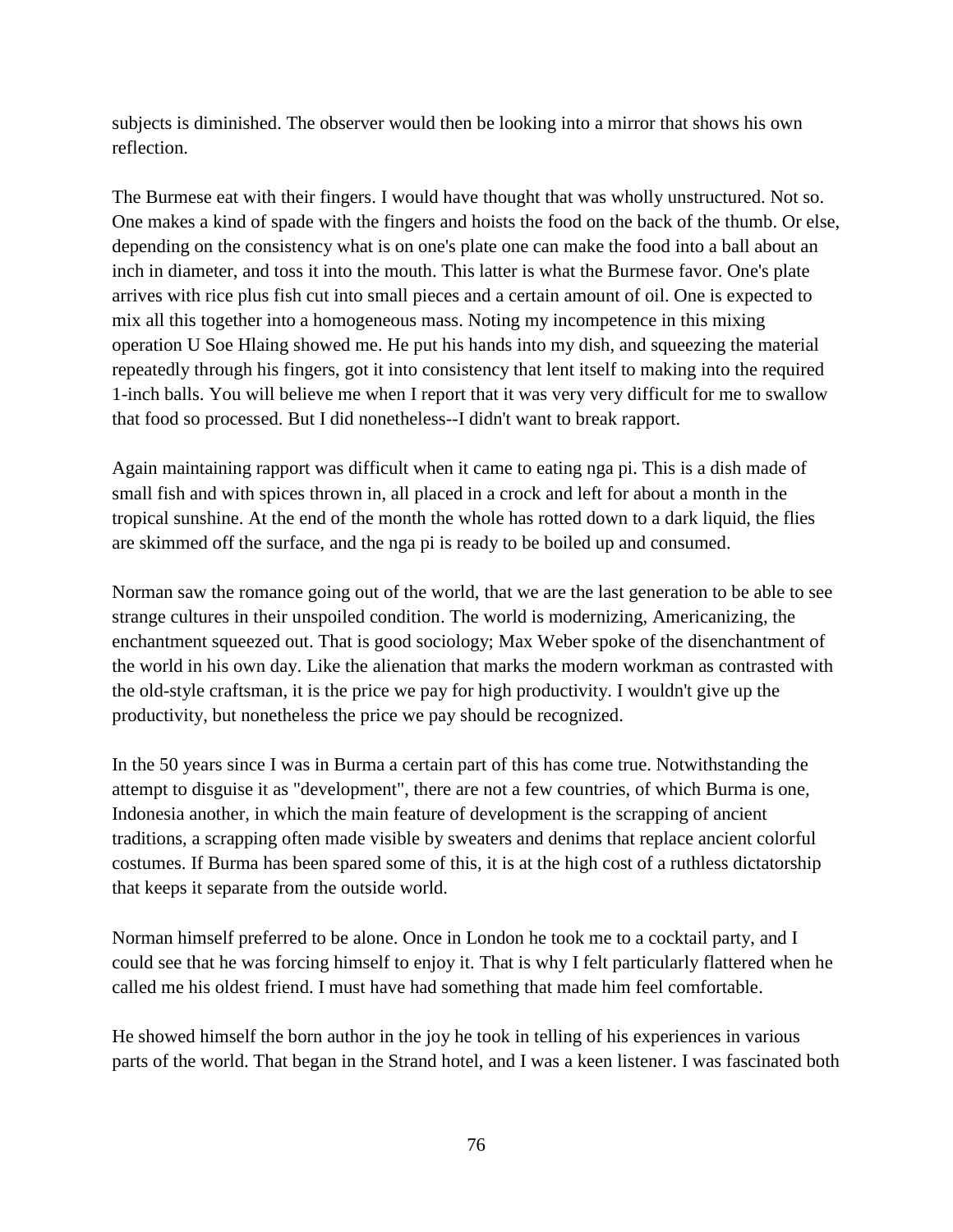subjects is diminished. The observer would then be looking into a mirror that shows his own reflection.

The Burmese eat with their fingers. I would have thought that was wholly unstructured. Not so. One makes a kind of spade with the fingers and hoists the food on the back of the thumb. Or else, depending on the consistency what is on one's plate one can make the food into a ball about an inch in diameter, and toss it into the mouth. This latter is what the Burmese favor. One's plate arrives with rice plus fish cut into small pieces and a certain amount of oil. One is expected to mix all this together into a homogeneous mass. Noting my incompetence in this mixing operation U Soe Hlaing showed me. He put his hands into my dish, and squeezing the material repeatedly through his fingers, got it into consistency that lent itself to making into the required 1-inch balls. You will believe me when I report that it was very very difficult for me to swallow that food so processed. But I did nonetheless--I didn't want to break rapport.

Again maintaining rapport was difficult when it came to eating nga pi. This is a dish made of small fish and with spices thrown in, all placed in a crock and left for about a month in the tropical sunshine. At the end of the month the whole has rotted down to a dark liquid, the flies are skimmed off the surface, and the nga pi is ready to be boiled up and consumed.

Norman saw the romance going out of the world, that we are the last generation to be able to see strange cultures in their unspoiled condition. The world is modernizing, Americanizing, the enchantment squeezed out. That is good sociology; Max Weber spoke of the disenchantment of the world in his own day. Like the alienation that marks the modern workman as contrasted with the old-style craftsman, it is the price we pay for high productivity. I wouldn't give up the productivity, but nonetheless the price we pay should be recognized.

In the 50 years since I was in Burma a certain part of this has come true. Notwithstanding the attempt to disguise it as "development", there are not a few countries, of which Burma is one, Indonesia another, in which the main feature of development is the scrapping of ancient traditions, a scrapping often made visible by sweaters and denims that replace ancient colorful costumes. If Burma has been spared some of this, it is at the high cost of a ruthless dictatorship that keeps it separate from the outside world.

Norman himself preferred to be alone. Once in London he took me to a cocktail party, and I could see that he was forcing himself to enjoy it. That is why I felt particularly flattered when he called me his oldest friend. I must have had something that made him feel comfortable.

He showed himself the born author in the joy he took in telling of his experiences in various parts of the world. That began in the Strand hotel, and I was a keen listener. I was fascinated both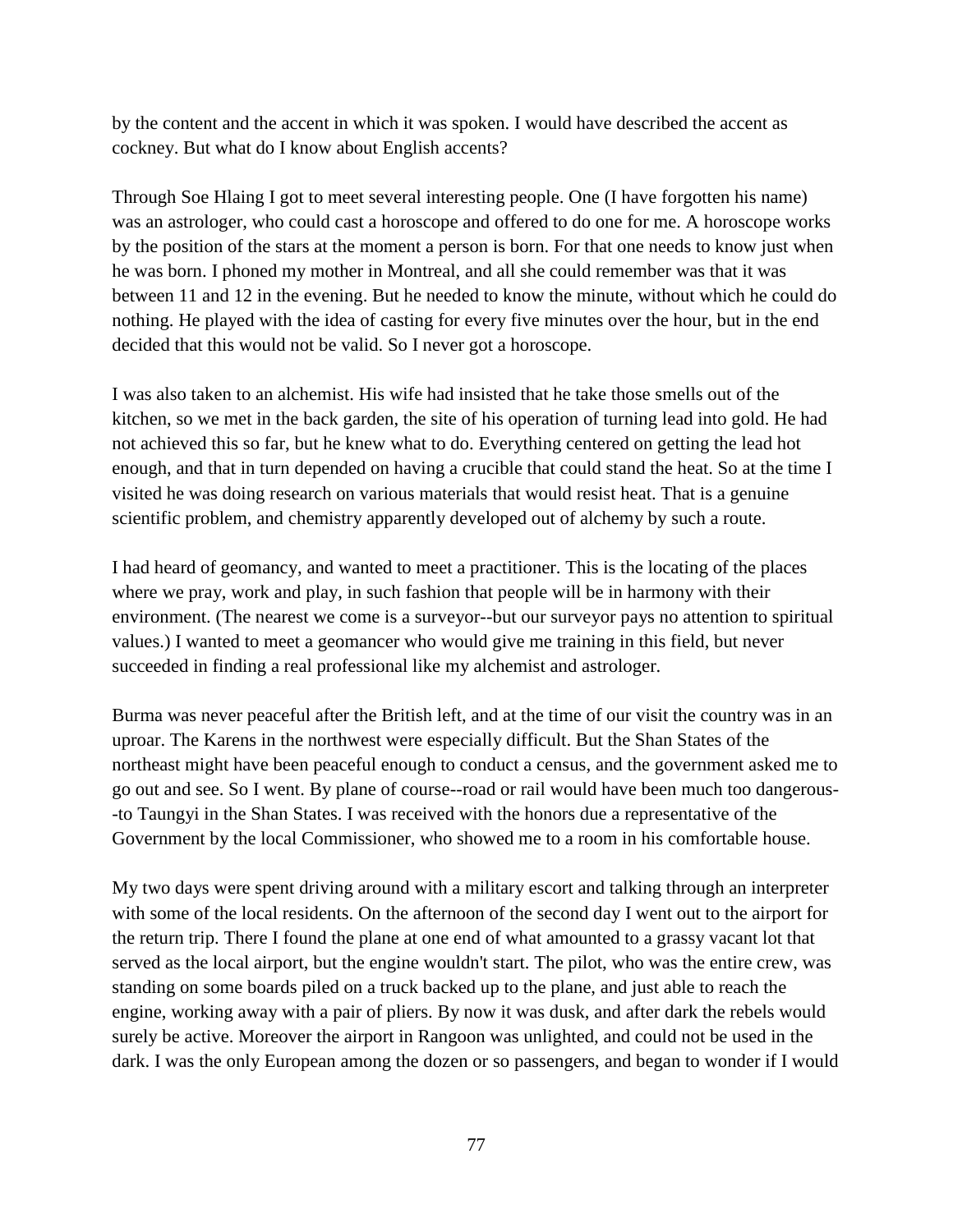by the content and the accent in which it was spoken. I would have described the accent as cockney. But what do I know about English accents?

Through Soe Hlaing I got to meet several interesting people. One (I have forgotten his name) was an astrologer, who could cast a horoscope and offered to do one for me. A horoscope works by the position of the stars at the moment a person is born. For that one needs to know just when he was born. I phoned my mother in Montreal, and all she could remember was that it was between 11 and 12 in the evening. But he needed to know the minute, without which he could do nothing. He played with the idea of casting for every five minutes over the hour, but in the end decided that this would not be valid. So I never got a horoscope.

I was also taken to an alchemist. His wife had insisted that he take those smells out of the kitchen, so we met in the back garden, the site of his operation of turning lead into gold. He had not achieved this so far, but he knew what to do. Everything centered on getting the lead hot enough, and that in turn depended on having a crucible that could stand the heat. So at the time I visited he was doing research on various materials that would resist heat. That is a genuine scientific problem, and chemistry apparently developed out of alchemy by such a route.

I had heard of geomancy, and wanted to meet a practitioner. This is the locating of the places where we pray, work and play, in such fashion that people will be in harmony with their environment. (The nearest we come is a surveyor--but our surveyor pays no attention to spiritual values.) I wanted to meet a geomancer who would give me training in this field, but never succeeded in finding a real professional like my alchemist and astrologer.

Burma was never peaceful after the British left, and at the time of our visit the country was in an uproar. The Karens in the northwest were especially difficult. But the Shan States of the northeast might have been peaceful enough to conduct a census, and the government asked me to go out and see. So I went. By plane of course--road or rail would have been much too dangerous- -to Taungyi in the Shan States. I was received with the honors due a representative of the Government by the local Commissioner, who showed me to a room in his comfortable house.

My two days were spent driving around with a military escort and talking through an interpreter with some of the local residents. On the afternoon of the second day I went out to the airport for the return trip. There I found the plane at one end of what amounted to a grassy vacant lot that served as the local airport, but the engine wouldn't start. The pilot, who was the entire crew, was standing on some boards piled on a truck backed up to the plane, and just able to reach the engine, working away with a pair of pliers. By now it was dusk, and after dark the rebels would surely be active. Moreover the airport in Rangoon was unlighted, and could not be used in the dark. I was the only European among the dozen or so passengers, and began to wonder if I would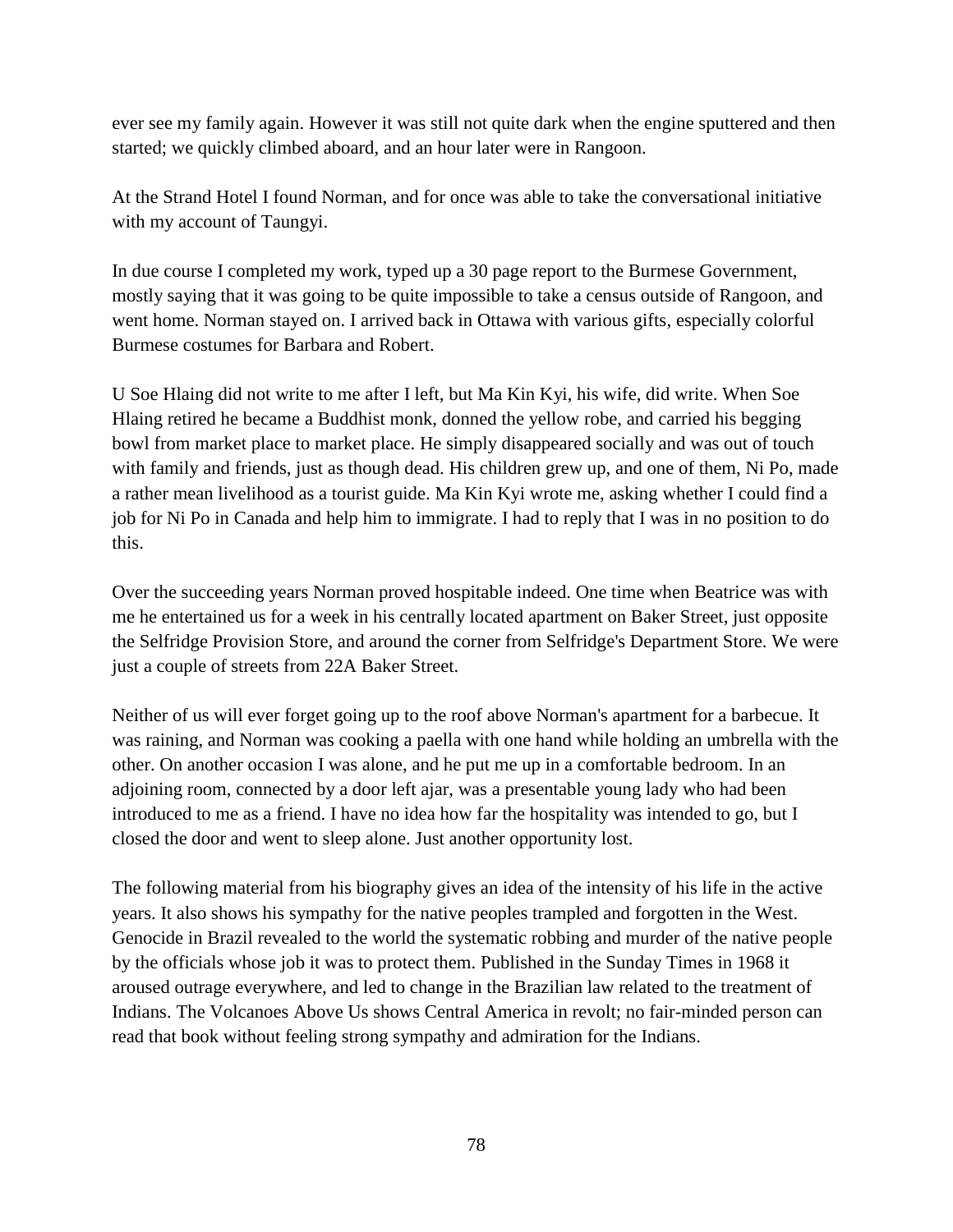ever see my family again. However it was still not quite dark when the engine sputtered and then started; we quickly climbed aboard, and an hour later were in Rangoon.

At the Strand Hotel I found Norman, and for once was able to take the conversational initiative with my account of Taungyi.

In due course I completed my work, typed up a 30 page report to the Burmese Government, mostly saying that it was going to be quite impossible to take a census outside of Rangoon, and went home. Norman stayed on. I arrived back in Ottawa with various gifts, especially colorful Burmese costumes for Barbara and Robert.

U Soe Hlaing did not write to me after I left, but Ma Kin Kyi, his wife, did write. When Soe Hlaing retired he became a Buddhist monk, donned the yellow robe, and carried his begging bowl from market place to market place. He simply disappeared socially and was out of touch with family and friends, just as though dead. His children grew up, and one of them, Ni Po, made a rather mean livelihood as a tourist guide. Ma Kin Kyi wrote me, asking whether I could find a job for Ni Po in Canada and help him to immigrate. I had to reply that I was in no position to do this.

Over the succeeding years Norman proved hospitable indeed. One time when Beatrice was with me he entertained us for a week in his centrally located apartment on Baker Street, just opposite the Selfridge Provision Store, and around the corner from Selfridge's Department Store. We were just a couple of streets from 22A Baker Street.

Neither of us will ever forget going up to the roof above Norman's apartment for a barbecue. It was raining, and Norman was cooking a paella with one hand while holding an umbrella with the other. On another occasion I was alone, and he put me up in a comfortable bedroom. In an adjoining room, connected by a door left ajar, was a presentable young lady who had been introduced to me as a friend. I have no idea how far the hospitality was intended to go, but I closed the door and went to sleep alone. Just another opportunity lost.

The following material from his biography gives an idea of the intensity of his life in the active years. It also shows his sympathy for the native peoples trampled and forgotten in the West. Genocide in Brazil revealed to the world the systematic robbing and murder of the native people by the officials whose job it was to protect them. Published in the Sunday Times in 1968 it aroused outrage everywhere, and led to change in the Brazilian law related to the treatment of Indians. The Volcanoes Above Us shows Central America in revolt; no fair-minded person can read that book without feeling strong sympathy and admiration for the Indians.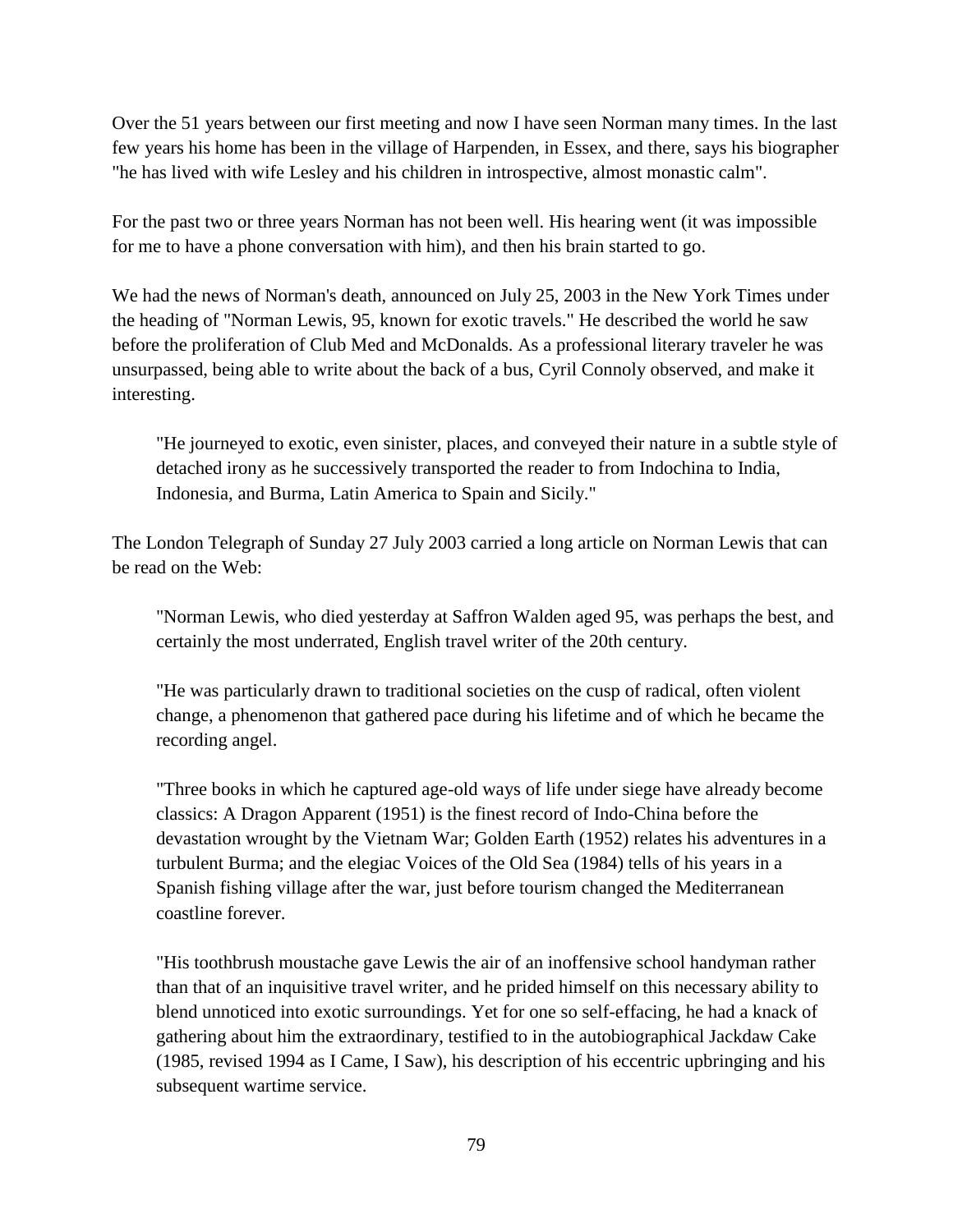Over the 51 years between our first meeting and now I have seen Norman many times. In the last few years his home has been in the village of Harpenden, in Essex, and there, says his biographer "he has lived with wife Lesley and his children in introspective, almost monastic calm".

For the past two or three years Norman has not been well. His hearing went (it was impossible for me to have a phone conversation with him), and then his brain started to go.

We had the news of Norman's death, announced on July 25, 2003 in the New York Times under the heading of "Norman Lewis, 95, known for exotic travels." He described the world he saw before the proliferation of Club Med and McDonalds. As a professional literary traveler he was unsurpassed, being able to write about the back of a bus, Cyril Connoly observed, and make it interesting.

"He journeyed to exotic, even sinister, places, and conveyed their nature in a subtle style of detached irony as he successively transported the reader to from Indochina to India, Indonesia, and Burma, Latin America to Spain and Sicily."

The London Telegraph of Sunday 27 July 2003 carried a long article on Norman Lewis that can be read on the Web:

"Norman Lewis, who died yesterday at Saffron Walden aged 95, was perhaps the best, and certainly the most underrated, English travel writer of the 20th century.

"He was particularly drawn to traditional societies on the cusp of radical, often violent change, a phenomenon that gathered pace during his lifetime and of which he became the recording angel.

"Three books in which he captured age-old ways of life under siege have already become classics: A Dragon Apparent (1951) is the finest record of Indo-China before the devastation wrought by the Vietnam War; Golden Earth (1952) relates his adventures in a turbulent Burma; and the elegiac Voices of the Old Sea (1984) tells of his years in a Spanish fishing village after the war, just before tourism changed the Mediterranean coastline forever.

"His toothbrush moustache gave Lewis the air of an inoffensive school handyman rather than that of an inquisitive travel writer, and he prided himself on this necessary ability to blend unnoticed into exotic surroundings. Yet for one so self-effacing, he had a knack of gathering about him the extraordinary, testified to in the autobiographical Jackdaw Cake (1985, revised 1994 as I Came, I Saw), his description of his eccentric upbringing and his subsequent wartime service.